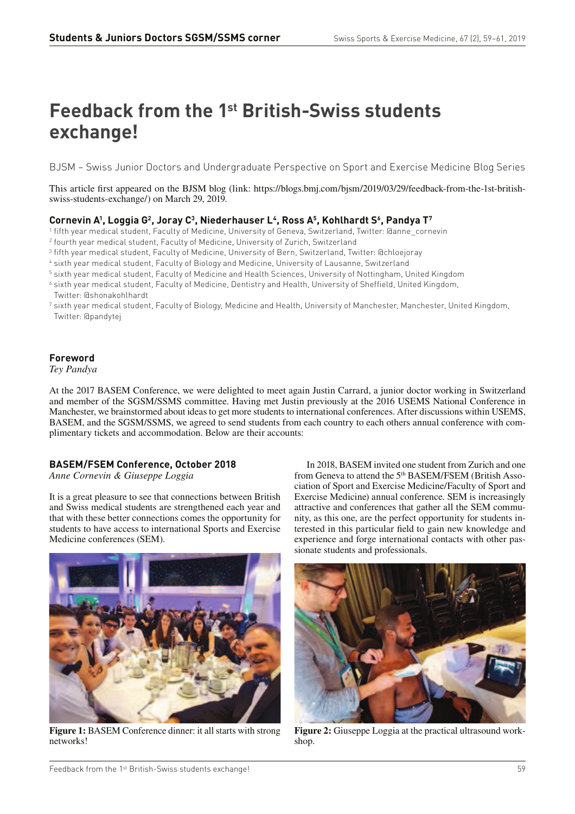# **Feedback from the 1st British-Swiss students exchange!**

BJSM – Swiss Junior Doctors and Undergraduate Perspective on Sport and Exercise Medicine Blog Series

This article first appeared on the BJSM blog (link: https://blogs.bmj.com/bjsm/2019/03/29/feedback-from-the-1st-britishswiss-students-exchange/) on March 29, 2019.

## **Cornevin A<sup>1</sup> , Loggia G<sup>2</sup> , Joray C<sup>3</sup> , Niederhauser L<sup>4</sup> , Ross A<sup>5</sup> , Kohlhardt S<sup>6</sup> , Pandya T<sup>7</sup>**

- 1 fifth year medical student, Faculty of Medicine, University of Geneva, Switzerland, Twitter: @anne\_cornevin
- 2 fourth year medical student, Faculty of Medicine, University of Zurich, Switzerland
- 3 fifth year medical student, Faculty of Medicine, University of Bern, Switzerland, Twitter: @chloejoray
- 4 sixth year medical student, Faculty of Biology and Medicine, University of Lausanne, Switzerland
- $^{\rm 5}$  sixth year medical student, Faculty of Medicine and Health Sciences, University of Nottingham, United Kingdom
- $^6$  sixth year medical student, Faculty of Medicine, Dentistry and Health, University of Sheffield, United Kingdom, Twitter: @shonakohlhardt
- <sup>7</sup> sixth year medical student, Faculty of Biology, Medicine and Health, University of Manchester, Manchester, United Kingdom, Twitter: @pandytej

## **Foreword**

*Tey Pandya*

At the 2017 BASEM Conference, we were delighted to meet again Justin Carrard, a junior doctor working in Switzerland and member of the SGSM/SSMS committee. Having met Justin previously at the 2016 USEMS National Conference in Manchester, we brainstormed about ideas to get more students to international conferences. After discussions within USEMS, BASEM, and the SGSM/SSMS, we agreed to send students from each country to each others annual conference with complimentary tickets and accommodation. Below are their accounts:

## **BASEM/FSEM Conference, October 2018**

*Anne Cornevin & Giuseppe Loggia*

It is a great pleasure to see that connections between British and Swiss medical students are strengthened each year and that with these better connections comes the opportunity for students to have access to international Sports and Exercise Medicine conferences (SEM).



**Figure 1:** BASEM Conference dinner: it all starts with strong networks!

In 2018, BASEM invited one student from Zurich and one from Geneva to attend the 5th BASEM/FSEM (British Association of Sport and Exercise Medicine/Faculty of Sport and Exercise Medicine) annual conference. SEM is increasingly attractive and conferences that gather all the SEM community, as this one, are the perfect opportunity for students interested in this particular field to gain new knowledge and experience and forge international contacts with other passionate students and professionals.



**Figure 2:** Giuseppe Loggia at the practical ultrasound workshop.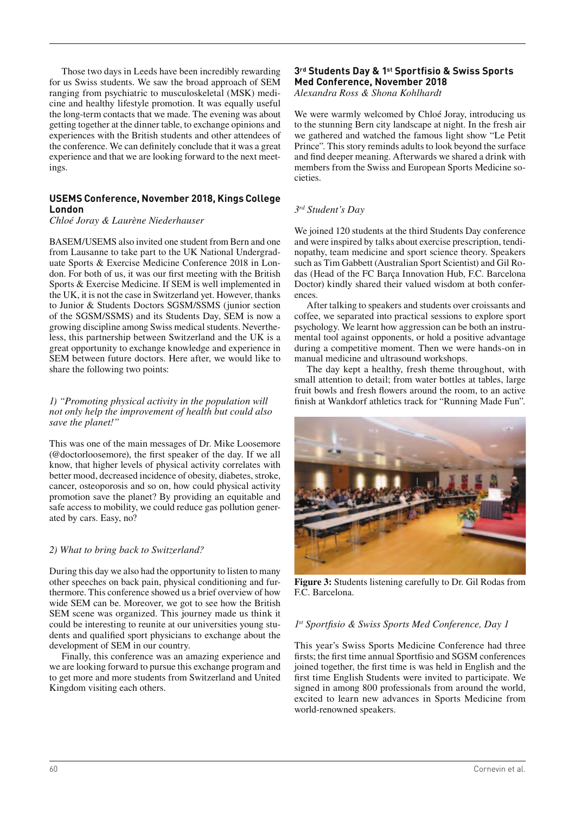Those two days in Leeds have been incredibly rewarding for us Swiss students. We saw the broad approach of SEM ranging from psychiatric to musculoskeletal (MSK) medicine and healthy lifestyle promotion. It was equally useful the long-term contacts that we made. The evening was about getting together at the dinner table, to exchange opinions and experiences with the British students and other attendees of the conference. We can definitely conclude that it was a great experience and that we are looking forward to the next meetings.

## **USEMS Conference, November 2018, Kings College London**

#### *Chloé Joray & Laurène Niederhauser*

BASEM/USEMS also invited one student from Bern and one from Lausanne to take part to the UK National Undergraduate Sports & Exercise Medicine Conference 2018 in London. For both of us, it was our first meeting with the British Sports & Exercise Medicine. If SEM is well implemented in the UK, it is not the case in Switzerland yet. However, thanks to Junior & Students Doctors SGSM/SSMS (junior section of the SGSM/SSMS) and its Students Day, SEM is now a growing discipline among Swiss medical students. Nevertheless, this partnership between Switzerland and the UK is a great opportunity to exchange knowledge and experience in SEM between future doctors. Here after, we would like to share the following two points:

#### *1) "Promoting physical activity in the population will not only help the improvement of health but could also save the planet!"*

This was one of the main messages of Dr. Mike Loosemore (@doctorloosemore), the first speaker of the day. If we all know, that higher levels of physical activity correlates with better mood, decreased incidence of obesity, diabetes, stroke, cancer, osteoporosis and so on, how could physical activity promotion save the planet? By providing an equitable and safe access to mobility, we could reduce gas pollution generated by cars. Easy, no?

#### *2) What to bring back to Switzerland?*

During this day we also had the opportunity to listen to many other speeches on back pain, physical conditioning and furthermore. This conference showed us a brief overview of how wide SEM can be. Moreover, we got to see how the British SEM scene was organized. This journey made us think it could be interesting to reunite at our universities young students and qualified sport physicians to exchange about the development of SEM in our country.

Finally, this conference was an amazing experience and we are looking forward to pursue this exchange program and to get more and more students from Switzerland and United Kingdom visiting each others.

#### 3<sup>rd</sup> Students Day & 1<sup>st</sup> Sportfisio & Swiss Sports **Med Conference, November 2018** *Alexandra Ross & Shona Kohlhardt*

We were warmly welcomed by Chloé Joray, introducing us to the stunning Bern city landscape at night. In the fresh air we gathered and watched the famous light show "Le Petit Prince". This story reminds adults to look beyond the surface and find deeper meaning. Afterwards we shared a drink with members from the Swiss and European Sports Medicine societies.

## *3 rd Student's Day*

We joined 120 students at the third Students Day conference and were inspired by talks about exercise prescription, tendinopathy, team medicine and sport science theory. Speakers such as Tim Gabbett (Australian Sport Scientist) and Gil Rodas (Head of the FC Barça Innovation Hub, F.C. Barcelona Doctor) kindly shared their valued wisdom at both conferences.

After talking to speakers and students over croissants and coffee, we separated into practical sessions to explore sport psychology. We learnt how aggression can be both an instrumental tool against opponents, or hold a positive advantage during a competitive moment. Then we were hands-on in manual medicine and ultrasound workshops.

The day kept a healthy, fresh theme throughout, with small attention to detail; from water bottles at tables, large fruit bowls and fresh flowers around the room, to an active finish at Wankdorf athletics track for "Running Made Fun".



**Figure 3:** Students listening carefully to Dr. Gil Rodas from F.C. Barcelona.

#### 1<sup>st</sup> Sportfisio & Swiss Sports Med Conference, Day 1

This year's Swiss Sports Medicine Conference had three firsts; the first time annual Sportfisio and SGSM conferences joined together, the first time is was held in English and the first time English Students were invited to participate. We signed in among 800 professionals from around the world, excited to learn new advances in Sports Medicine from world-renowned speakers.